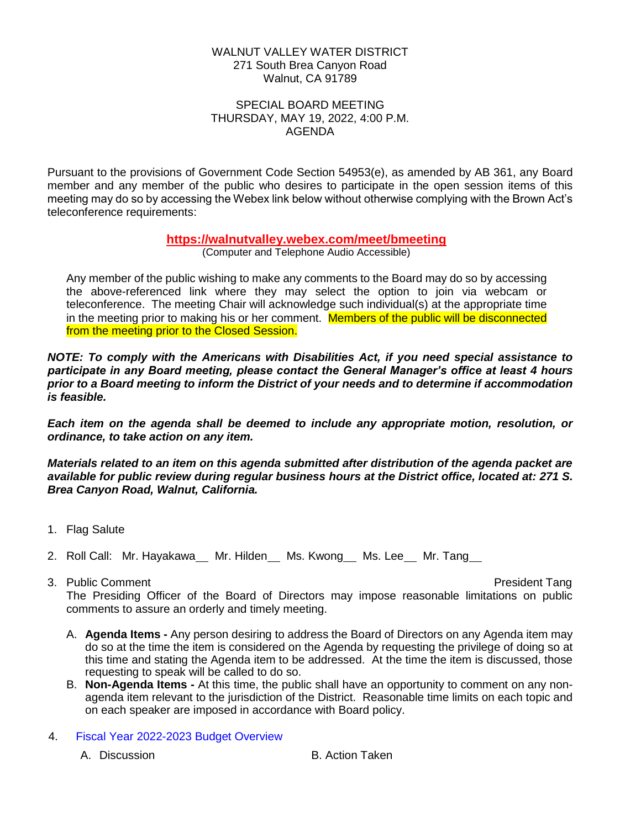## WALNUT VALLEY WATER DISTRICT 271 South Brea Canyon Road Walnut, CA 91789

## SPECIAL BOARD MEETING THURSDAY, MAY 19, 2022, 4:00 P.M. AGENDA

Pursuant to the provisions of Government Code Section 54953(e), as amended by AB 361, any Board member and any member of the public who desires to participate in the open session items of this meeting may do so by accessing the Webex link below without otherwise complying with the Brown Act's teleconference requirements:

## **<https://walnutvalley.webex.com/meet/bmeeting>**

(Computer and Telephone Audio Accessible)

Any member of the public wishing to make any comments to the Board may do so by accessing the above-referenced link where they may select the option to join via webcam or teleconference. The meeting Chair will acknowledge such individual(s) at the appropriate time in the meeting prior to making his or her comment. Members of the public will be disconnected from the meeting prior to the Closed Session.

*NOTE: To comply with the Americans with Disabilities Act, if you need special assistance to participate in any Board meeting, please contact the General Manager's office at least 4 hours prior to a Board meeting to inform the District of your needs and to determine if accommodation is feasible.*

*Each item on the agenda shall be deemed to include any appropriate motion, resolution, or ordinance, to take action on any item.*

*Materials related to an item on this agenda submitted after distribution of the agenda packet are available for public review during regular business hours at the District office, located at: 271 S. Brea Canyon Road, Walnut, California.*

- 1. Flag Salute
- 2. Roll Call: Mr. Hayakawa \_ Mr. Hilden \_ Ms. Kwong \_ Ms. Lee \_ Mr. Tang
- 3. Public Comment President Tang The Presiding Officer of the Board of Directors may impose reasonable limitations on public comments to assure an orderly and timely meeting.
	- A. **Agenda Items -** Any person desiring to address the Board of Directors on any Agenda item may do so at the time the item is considered on the Agenda by requesting the privilege of doing so at this time and stating the Agenda item to be addressed. At the time the item is discussed, those requesting to speak will be called to do so.
	- B. **Non-Agenda Items -** At this time, the public shall have an opportunity to comment on any nonagenda item relevant to the jurisdiction of the District. Reasonable time limits on each topic and on each speaker are imposed in accordance with Board policy.
- 4. Fiscal Year 2022-2023 Budget Overview

A. Discussion B. Action Taken